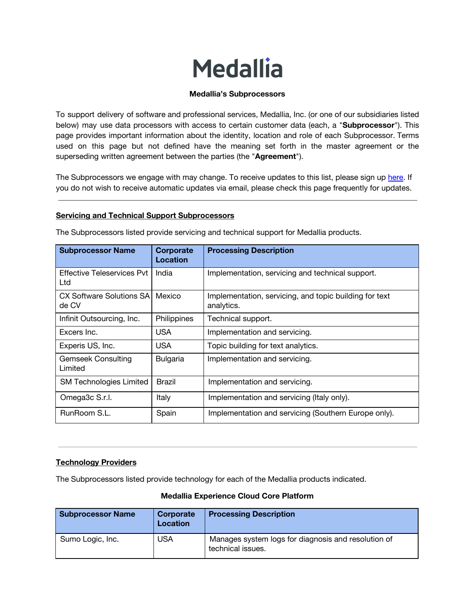# **Medallia**

## **Medallia's Subprocessors**

To support delivery of software and professional services, Medallia, Inc. (or one of our subsidiaries listed below) may use data processors with access to certain customer data (each, a "**Subprocessor**"). This page provides important information about the identity, location and role of each Subprocessor. Terms used on this page but not defined have the meaning set forth in the master agreement or the superseding written agreement between the parties (the "**Agreement**").

The Subprocessors we engage with may change. To receive updates to this list, please sign up [here.](https://go.medallia.com/SubprocessorUpdateList_RequestForm.html) If you do not wish to receive automatic updates via email, please check this page frequently for updates.

#### **Servicing and Technical Support Subprocessors**

| <b>Subprocessor Name</b>                 | Corporate<br>Location | <b>Processing Description</b>                                        |
|------------------------------------------|-----------------------|----------------------------------------------------------------------|
| <b>Effective Teleservices Pvt</b><br>Ltd | India                 | Implementation, servicing and technical support.                     |
| CX Software Solutions SAI<br>de CV       | Mexico                | Implementation, servicing, and topic building for text<br>analytics. |
| Infinit Outsourcing, Inc.                | Philippines           | Technical support.                                                   |
| Excers Inc.                              | <b>USA</b>            | Implementation and servicing.                                        |
| Experis US, Inc.                         | <b>USA</b>            | Topic building for text analytics.                                   |
| <b>Gemseek Consulting</b><br>Limited     | Bulgaria              | Implementation and servicing.                                        |
| <b>SM Technologies Limited</b>           | Brazil                | Implementation and servicing.                                        |
| Omega3c S.r.l.                           | Italy                 | Implementation and servicing (Italy only).                           |
| RunRoom S.L.                             | Spain                 | Implementation and servicing (Southern Europe only).                 |

The Subprocessors listed provide servicing and technical support for Medallia products.

#### **Technology Providers**

The Subprocessors listed provide technology for each of the Medallia products indicated.

| <b>Subprocessor Name</b> | Corporate<br>Location | <b>Processing Description</b>                                            |
|--------------------------|-----------------------|--------------------------------------------------------------------------|
| Sumo Logic, Inc.         | USA                   | Manages system logs for diagnosis and resolution of<br>technical issues. |

#### **Medallia Experience Cloud Core Platform**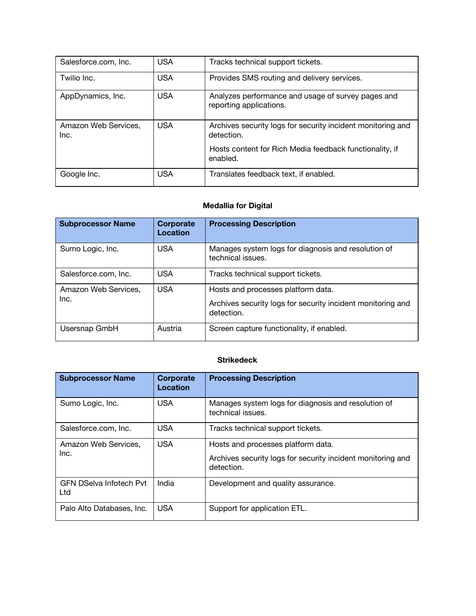| Salesforce.com, Inc.         | <b>USA</b> | Tracks technical support tickets.                                             |
|------------------------------|------------|-------------------------------------------------------------------------------|
| Twilio Inc.                  | <b>USA</b> | Provides SMS routing and delivery services.                                   |
| AppDynamics, Inc.            | <b>USA</b> | Analyzes performance and usage of survey pages and<br>reporting applications. |
| Amazon Web Services,<br>Inc. | <b>USA</b> | Archives security logs for security incident monitoring and<br>detection.     |
|                              |            | Hosts content for Rich Media feedback functionality, if<br>enabled.           |
| Google Inc.                  | <b>USA</b> | Translates feedback text, if enabled.                                         |

## **Medallia for Digital**

| <b>Subprocessor Name</b>     | Corporate<br>Location | <b>Processing Description</b>                                                                                   |
|------------------------------|-----------------------|-----------------------------------------------------------------------------------------------------------------|
| Sumo Logic, Inc.             | <b>USA</b>            | Manages system logs for diagnosis and resolution of<br>technical issues.                                        |
| Salesforce.com, Inc.         | USA                   | Tracks technical support tickets.                                                                               |
| Amazon Web Services,<br>Inc. | USA                   | Hosts and processes platform data.<br>Archives security logs for security incident monitoring and<br>detection. |
| Usersnap GmbH                | Austria               | Screen capture functionality, if enabled.                                                                       |

## **Strikedeck**

| <b>Subprocessor Name</b>              | Corporate<br>Location | <b>Processing Description</b>                                                                                   |
|---------------------------------------|-----------------------|-----------------------------------------------------------------------------------------------------------------|
| Sumo Logic, Inc.                      | <b>USA</b>            | Manages system logs for diagnosis and resolution of<br>technical issues.                                        |
| Salesforce.com, Inc.                  | <b>USA</b>            | Tracks technical support tickets.                                                                               |
| Amazon Web Services,<br>Inc.          | USA                   | Hosts and processes platform data.<br>Archives security logs for security incident monitoring and<br>detection. |
| <b>GFN DSelva Infotech Pvt</b><br>Ltd | India                 | Development and quality assurance.                                                                              |
| Palo Alto Databases, Inc.             | <b>USA</b>            | Support for application ETL.                                                                                    |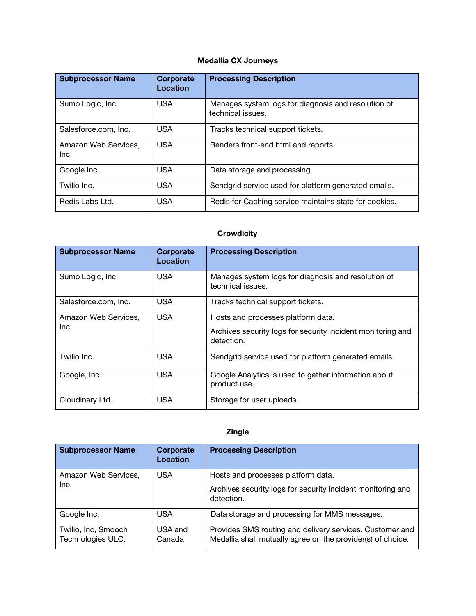## **Medallia CX Journeys**

| <b>Subprocessor Name</b>     | <b>Corporate</b><br>Location | <b>Processing Description</b>                                            |
|------------------------------|------------------------------|--------------------------------------------------------------------------|
| Sumo Logic, Inc.             | <b>USA</b>                   | Manages system logs for diagnosis and resolution of<br>technical issues. |
| Salesforce.com. Inc.         | <b>USA</b>                   | Tracks technical support tickets.                                        |
| Amazon Web Services,<br>Inc. | <b>USA</b>                   | Renders front-end html and reports.                                      |
| Google Inc.                  | <b>USA</b>                   | Data storage and processing.                                             |
| Twilio Inc.                  | <b>USA</b>                   | Sendgrid service used for platform generated emails.                     |
| Redis Labs Ltd.              | <b>USA</b>                   | Redis for Caching service maintains state for cookies.                   |

# **Crowdicity**

| <b>Subprocessor Name</b>     | <b>Corporate</b><br>Location | <b>Processing Description</b>                                                                                   |
|------------------------------|------------------------------|-----------------------------------------------------------------------------------------------------------------|
| Sumo Logic, Inc.             | <b>USA</b>                   | Manages system logs for diagnosis and resolution of<br>technical issues.                                        |
| Salesforce.com, Inc.         | <b>USA</b>                   | Tracks technical support tickets.                                                                               |
| Amazon Web Services,<br>Inc. | <b>USA</b>                   | Hosts and processes platform data.<br>Archives security logs for security incident monitoring and<br>detection. |
| Twilio Inc.                  | <b>USA</b>                   | Sendgrid service used for platform generated emails.                                                            |
| Google, Inc.                 | <b>USA</b>                   | Google Analytics is used to gather information about<br>product use.                                            |
| Cloudinary Ltd.              | <b>USA</b>                   | Storage for user uploads.                                                                                       |

## **Zingle**

| <b>Subprocessor Name</b>                 | Corporate<br>Location | <b>Processing Description</b>                                                                                           |
|------------------------------------------|-----------------------|-------------------------------------------------------------------------------------------------------------------------|
| Amazon Web Services,<br>Inc.             | <b>USA</b>            | Hosts and processes platform data.<br>Archives security logs for security incident monitoring and                       |
|                                          |                       | detection.                                                                                                              |
| Google Inc.                              | <b>USA</b>            | Data storage and processing for MMS messages.                                                                           |
| Twilio, Inc, Smooch<br>Technologies ULC, | USA and<br>Canada     | Provides SMS routing and delivery services. Customer and<br>Medallia shall mutually agree on the provider(s) of choice. |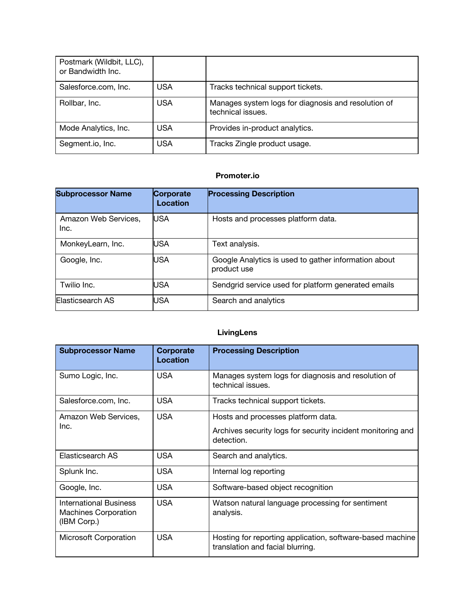| Postmark (Wildbit, LLC),<br>or Bandwidth Inc. |            |                                                                          |
|-----------------------------------------------|------------|--------------------------------------------------------------------------|
| Salesforce.com, Inc.                          | USA        | Tracks technical support tickets.                                        |
| Rollbar, Inc.                                 | <b>USA</b> | Manages system logs for diagnosis and resolution of<br>technical issues. |
| Mode Analytics, Inc.                          | <b>USA</b> | Provides in-product analytics.                                           |
| Segment.io, Inc.                              | <b>USA</b> | Tracks Zingle product usage.                                             |

## **Promoter.io**

| <b>Subprocessor Name</b>     | Corporate<br><b>Location</b> | <b>Processing Description</b>                                       |
|------------------------------|------------------------------|---------------------------------------------------------------------|
| Amazon Web Services,<br>Inc. | USA                          | Hosts and processes platform data.                                  |
| MonkeyLearn, Inc.            | USA                          | Text analysis.                                                      |
| Google, Inc.                 | USA                          | Google Analytics is used to gather information about<br>product use |
| Twilio Inc.                  | USA                          | Sendgrid service used for platform generated emails                 |
| Elasticsearch AS             | USA                          | Search and analytics                                                |

# **LivingLens**

| <b>Subprocessor Name</b>                                                    | Corporate<br>Location | <b>Processing Description</b>                                                                                   |
|-----------------------------------------------------------------------------|-----------------------|-----------------------------------------------------------------------------------------------------------------|
| Sumo Logic, Inc.                                                            | <b>USA</b>            | Manages system logs for diagnosis and resolution of<br>technical issues.                                        |
| Salesforce.com, Inc.                                                        | <b>USA</b>            | Tracks technical support tickets.                                                                               |
| Amazon Web Services,<br>Inc.                                                | <b>USA</b>            | Hosts and processes platform data.<br>Archives security logs for security incident monitoring and<br>detection. |
| Elasticsearch AS                                                            | <b>USA</b>            | Search and analytics.                                                                                           |
| Splunk Inc.                                                                 | <b>USA</b>            | Internal log reporting                                                                                          |
| Google, Inc.                                                                | <b>USA</b>            | Software-based object recognition                                                                               |
| <b>International Business</b><br><b>Machines Corporation</b><br>(IBM Corp.) | <b>USA</b>            | Watson natural language processing for sentiment<br>analysis.                                                   |
| Microsoft Corporation                                                       | <b>USA</b>            | Hosting for reporting application, software-based machine<br>translation and facial blurring.                   |